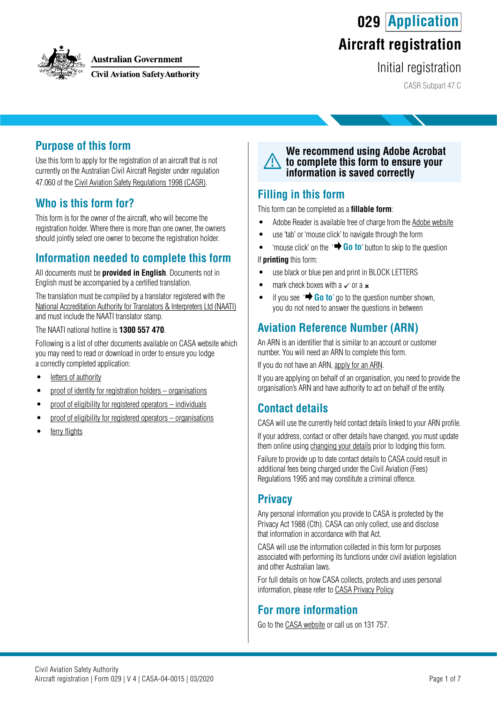**029 Application**



#### **Australian Government**

**Civil Aviation Safety Authority** 

# **Aircraft registration**

Initial registration

CASR Subpart 47.C

### **Purpose of this form**

Use this form to apply for the registration of an aircraft that is not currently on the Australian Civil Aircraft Register under regulation 47.060 of the [Civil Aviation Safety Regulations 1998 \(CASR\)](https://www.legislation.gov.au/Series/F1998B00220).

## **Who is this form for?**

This form is for the owner of the aircraft, who will become the registration holder. Where there is more than one owner, the owners should jointly select one owner to become the registration holder.

## **Information needed to complete this form**

All documents must be **provided in English**. Documents not in English must be accompanied by a certified translation.

The translation must be compiled by a translator registered with the [National Accreditation Authority for Translators & Interpreters Ltd \(NAATI\)](https://www.naati.com.au/) and must include the NAATI translator stamp.

The NAATI national hotline is **1300 557 470**.

Following is a list of other documents available on CASA website which you may need to read or download in order to ensure you lodge a correctly completed application:

- [letters of authority](https://www.casa.gov.au/standard-page/letters-authority)
- [proof of identity for registration holders organisations](https://www.casa.gov.au/standard-page/registration-holders-proof-identification-organisations)
- [proof of eligibility for registered operators individuals](https://www.casa.gov.au/standard-page/registered-operators-proof-eligibility-individuals)
- [proof of eligibility for registered operators organisations](https://www.casa.gov.au/standard-page/registered-operators-proof-eligibility-organisations)
- [ferry flights](https://www.casa.gov.au/standard-page/ferry-flights)

#### **We recommend using Adobe Acrobat to complete this form to ensure your information is saved correctly**

### **Filling in this form**

This form can be completed as a **fillable form**:

- Adobe Reader is available free of charge from the [Adobe website](https://get.adobe.com/reader/)
- use 'tab' or 'mouse click' to navigate through the form
- 'mouse click' on the '**+ Go to**' button to skip to the question

If **printing** this form:

- use black or blue pen and print in BLOCK LETTERS
- mark check boxes with a  $\checkmark$  or a  $\checkmark$
- if you see  $\overrightarrow{ }$  **Go to**' go to the question number shown, you do not need to answer the questions in between

## **Aviation Reference Number (ARN)**

An ARN is an identifier that is similar to an account or customer number. You will need an ARN to complete this form.

If you do not have an ARN, [apply for an ARN](https://www.casa.gov.au/licences-and-certification/individual-licensing/applying-aviation-reference-number-arn).

If you are applying on behalf of an organisation, you need to provide the organisation's ARN and have authority to act on behalf of the entity.

### **Contact details**

CASA will use the currently held contact details linked to your ARN profile. If your address, contact or other details have changed, you must update them online using [changing your details](https://www.casa.gov.au/licences-and-certification/individual-licensing/licence-information/changing-your-details) prior to lodging this form.

Failure to provide up to date contact details to CASA could result in additional fees being charged under the Civil Aviation (Fees) Regulations 1995 and may constitute a criminal offence.

### **Privacy**

Any personal information you provide to CASA is protected by the Privacy Act 1988 (Cth). CASA can only collect, use and disclose that information in accordance with that Act.

CASA will use the information collected in this form for purposes associated with performing its functions under civil aviation legislation and other Australian laws.

For full details on how CASA collects, protects and uses personal information, please refer to [CASA Privacy Policy](http://www.casa.gov.au/privacy-policy).

### **For more information**

Go to the [CASA website](http://www.casa.gov.au) or call us on 131 757.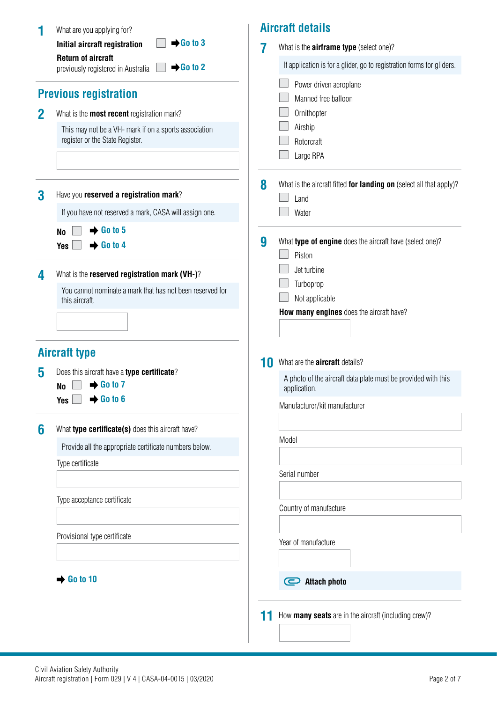| 1           | What are you applying for?                                                               |    | <b>Aircraft details</b>                                                       |
|-------------|------------------------------------------------------------------------------------------|----|-------------------------------------------------------------------------------|
|             | $\rightarrow$ Go to 3<br>Initial aircraft registration<br><b>Return of aircraft</b>      | 7  | What is the <b>airframe type</b> (select one)?                                |
|             | $\rightarrow$ Go to 2<br>previously registered in Australia                              |    | If application is for a glider, go to registration forms for gliders.         |
|             |                                                                                          |    | Power driven aeroplane                                                        |
|             | <b>Previous registration</b>                                                             |    | Manned free balloon                                                           |
| $\mathbf 2$ | What is the <b>most recent</b> registration mark?                                        |    | Ornithopter                                                                   |
|             | This may not be a VH- mark if on a sports association<br>register or the State Register. |    | Airship                                                                       |
|             |                                                                                          |    | Rotorcraft<br>Large RPA                                                       |
|             |                                                                                          |    |                                                                               |
|             |                                                                                          | 8  | What is the aircraft fitted for landing on (select all that apply)?           |
| 3           | Have you reserved a registration mark?                                                   |    | Land                                                                          |
|             | If you have not reserved a mark, CASA will assign one.                                   |    | Water                                                                         |
|             | $\rightarrow$ Go to 5<br><b>No</b>                                                       | 9  | What type of engine does the aircraft have (select one)?                      |
|             | $\rightarrow$ Go to 4<br><b>Yes</b>                                                      |    | Piston                                                                        |
| 4           | What is the reserved registration mark (VH-)?                                            |    | Jet turbine                                                                   |
|             | You cannot nominate a mark that has not been reserved for                                |    | Turboprop                                                                     |
|             | this aircraft.                                                                           |    | Not applicable                                                                |
|             |                                                                                          |    | How many engines does the aircraft have?                                      |
|             |                                                                                          |    |                                                                               |
|             | <b>Aircraft type</b>                                                                     |    |                                                                               |
| 5           | Does this aircraft have a type certificate?                                              | 10 | What are the <b>aircraft</b> details?                                         |
|             | $\rightarrow$ Go to 7<br><b>No</b>                                                       |    | A photo of the aircraft data plate must be provided with this<br>application. |
|             | $\rightarrow$ Go to 6<br><b>Yes</b>                                                      |    | Manufacturer/kit manufacturer                                                 |
| 6           | What type certificate(s) does this aircraft have?                                        |    |                                                                               |
|             | Provide all the appropriate certificate numbers below.                                   |    | Model                                                                         |
|             | Type certificate                                                                         |    |                                                                               |
|             |                                                                                          |    | Serial number                                                                 |
|             | Type acceptance certificate                                                              |    |                                                                               |
|             |                                                                                          |    | Country of manufacture                                                        |
|             | Provisional type certificate                                                             |    |                                                                               |
|             |                                                                                          |    | Year of manufacture                                                           |
|             |                                                                                          |    |                                                                               |
|             | Go to 10                                                                                 |    | <b>Attach photo</b><br>$\boldsymbol{\Xi}$                                     |
|             |                                                                                          |    |                                                                               |
|             |                                                                                          |    | How many seats are in the aircraft (including crew)?                          |
|             |                                                                                          |    |                                                                               |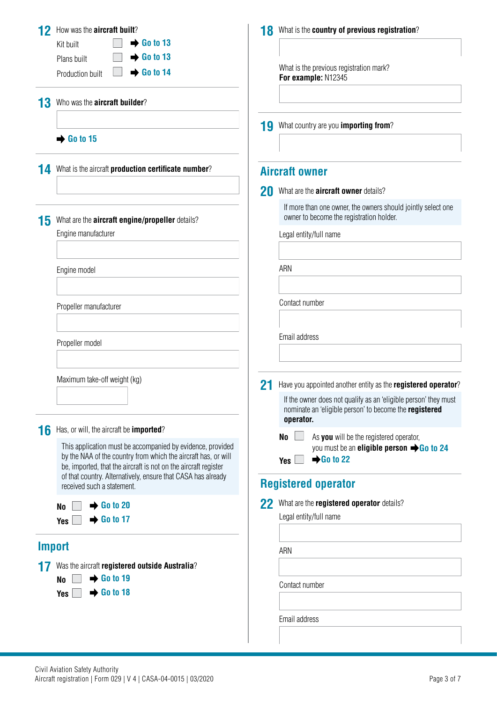| 12<br>13 | How was the <b>aircraft built</b> ?<br><b>Go to 13</b><br>Kit built<br>$\rightarrow$ Go to 13<br>Plans built<br>$\rightarrow$ Go to 14<br>Production built<br>Who was the <b>aircraft builder?</b>                                                 | 18 | What is the country of previous registration?<br>What is the previous registration mark?<br>For example: N12345                                                                            |
|----------|----------------------------------------------------------------------------------------------------------------------------------------------------------------------------------------------------------------------------------------------------|----|--------------------------------------------------------------------------------------------------------------------------------------------------------------------------------------------|
|          | $\rightarrow$ Go to 15                                                                                                                                                                                                                             | 19 | What country are you importing from?                                                                                                                                                       |
| 14       | What is the aircraft production certificate number?                                                                                                                                                                                                |    | <b>Aircraft owner</b>                                                                                                                                                                      |
|          |                                                                                                                                                                                                                                                    | 20 | What are the <b>aircraft owner</b> details?                                                                                                                                                |
| 15       | What are the <b>aircraft engine/propeller</b> details?                                                                                                                                                                                             |    | If more than one owner, the owners should jointly select one<br>owner to become the registration holder.                                                                                   |
|          | Engine manufacturer                                                                                                                                                                                                                                |    | Legal entity/full name                                                                                                                                                                     |
|          | Engine model                                                                                                                                                                                                                                       |    | ARN                                                                                                                                                                                        |
|          | Propeller manufacturer                                                                                                                                                                                                                             |    | Contact number                                                                                                                                                                             |
|          | Propeller model                                                                                                                                                                                                                                    |    | Email address                                                                                                                                                                              |
|          | Maximum take-off weight (kg)                                                                                                                                                                                                                       | 21 | Have you appointed another entity as the registered operator?<br>If the owner does not qualify as an 'eligible person' they must<br>nominate an 'eligible person' to become the registered |
| 16       | Has, or will, the aircraft be <b>imported</b> ?<br>This application must be accompanied by evidence, provided<br>by the NAA of the country from which the aircraft has, or will<br>be, imported, that the aircraft is not on the aircraft register |    | operator.<br>As you will be the registered operator,<br>No<br>you must be an <b>eligible person</b> $\rightarrow$ Go to 24<br>$\rightarrow$ Go to 22<br><b>Yes</b>                         |
|          | of that country. Alternatively, ensure that CASA has already<br>received such a statement.                                                                                                                                                         |    | <b>Registered operator</b>                                                                                                                                                                 |
|          | $\rightarrow$ Go to 20<br><b>No</b><br>$\rightarrow$ Go to 17<br>Yes                                                                                                                                                                               | 22 | What are the registered operator details?<br>Legal entity/full name                                                                                                                        |
|          | <b>Import</b>                                                                                                                                                                                                                                      |    | ARN                                                                                                                                                                                        |
|          | Was the aircraft registered outside Australia?                                                                                                                                                                                                     |    |                                                                                                                                                                                            |
|          | $\rightarrow$ Go to 19<br>N <sub>0</sub><br>$\rightarrow$ Go to 18<br><b>Yes</b>                                                                                                                                                                   |    | Contact number                                                                                                                                                                             |
|          |                                                                                                                                                                                                                                                    |    | Email address                                                                                                                                                                              |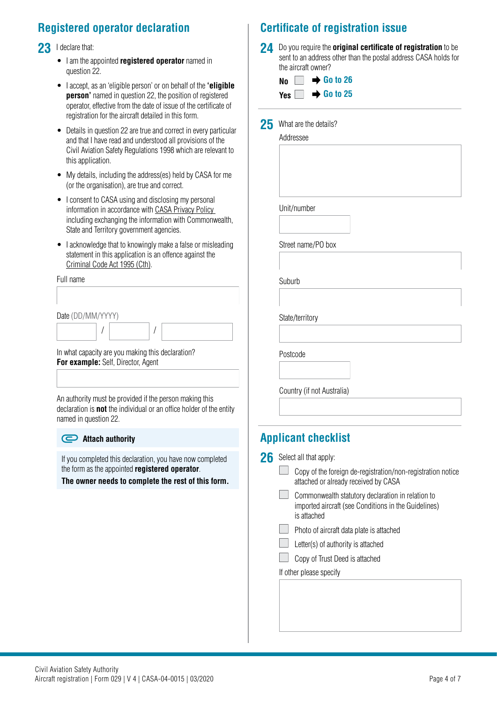## **Registered operator declaration**

23 I declare that:

- I am the appointed **registered operator** named in question 22.
- I accept, as an 'eligible person' or on behalf of the **'eligible person'** named in question 22, the position of registered operator, effective from the date of issue of the certificate of registration for the aircraft detailed in this form.
- Details in question 22 are true and correct in every particular and that I have read and understood all provisions of the Civil Aviation Safety Regulations 1998 which are relevant to this application.
- My details, including the address(es) held by CASA for me (or the organisation), are true and correct.
- I consent to CASA using and disclosing my personal information in accordance with [CASA Privacy Policy](https://www.casa.gov.au/privacy-policy)  including exchanging the information with Commonwealth, State and Territory government agencies.
- I acknowledge that to knowingly make a false or misleading statement in this application is an offence against the [Criminal Code Act 1995 \(Cth\)](https://www.legislation.gov.au/Details/C2018C00244).

Full name

Date (DD/MM/YYYY)

/

In what capacity are you making this declaration? **For example:** Self, Director, Agent

An authority must be provided if the person making this declaration is **not** the individual or an office holder of the entity named in question 22.

/

#### **Attach authority**

If you completed this declaration, you have now completed the form as the appointed **registered operator**.

**The owner needs to complete the rest of this form.**

## **Certificate of registration issue**

**24** Do you require the **original certificate of registration** to be sent to an address other than the postal address CASA holds for the aircraft owner?

| No $\Box \rightarrow$ Go to 26  |  |  |
|---------------------------------|--|--|
| Yes $\Box \rightarrow$ Go to 25 |  |  |

25 What are the details?

Addressee

| Unit/number |  |  |
|-------------|--|--|

Street name/PO box

Suburb

State/territory

Postcode

Country (if not Australia)

## **Applicant checklist**

- 26 Select all that apply:
	- $\Box$  Copy of the foreign de-registration/non-registration notice attached or already received by CASA
	- Commonwealth statutory declaration in relation to imported aircraft (see Conditions in the Guidelines) is attached
	- **Photo of aircraft data plate is attached**
	- $\mathbf{I}$ Letter(s) of authority is attached
	- Copy of Trust Deed is attached

If other please specify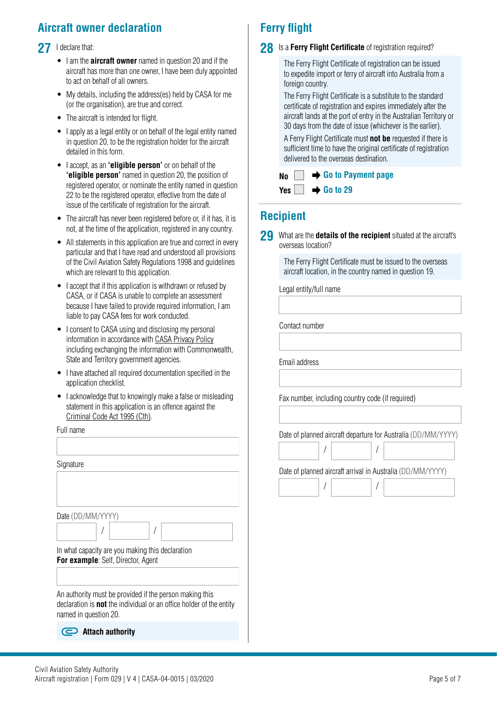## **Aircraft owner declaration**

#### 27 I declare that:

- I am the **aircraft owner** named in question 20 and if the aircraft has more than one owner, I have been duly appointed to act on behalf of all owners.
- My details, including the address(es) held by CASA for me (or the organisation), are true and correct.
- The aircraft is intended for flight.
- I apply as a legal entity or on behalf of the legal entity named in question 20, to be the registration holder for the aircraft detailed in this form.
- I accept, as an **'eligible person'** or on behalf of the **'eligible person'** named in question 20, the position of registered operator, or nominate the entity named in question 22 to be the registered operator, effective from the date of issue of the certificate of registration for the aircraft.
- The aircraft has never been registered before or, if it has, it is not, at the time of the application, registered in any country.
- All statements in this application are true and correct in every particular and that I have read and understood all provisions of the Civil Aviation Safety Regulations 1998 and guidelines which are relevant to this application.
- I accept that if this application is withdrawn or refused by CASA, or if CASA is unable to complete an assessment because I have failed to provide required information, I am liable to pay CASA fees for work conducted.
- I consent to CASA using and disclosing my personal information in accordance with [CASA Privacy Policy](https://www.casa.gov.au/privacy-policy) including exchanging the information with Commonwealth, State and Territory government agencies.
- I have attached all required documentation specified in the application checklist.
- I acknowledge that to knowingly make a false or misleading statement in this application is an offence against the [Criminal Code Act 1995 \(Cth\)](https://www.legislation.gov.au/Details/C2018C00244).

#### Full name

| Signature                                                                                                                                                      |                  |  |  |  |  |
|----------------------------------------------------------------------------------------------------------------------------------------------------------------|------------------|--|--|--|--|
|                                                                                                                                                                |                  |  |  |  |  |
|                                                                                                                                                                |                  |  |  |  |  |
| Date (DD/MM/YYYY)                                                                                                                                              |                  |  |  |  |  |
|                                                                                                                                                                |                  |  |  |  |  |
| In what capacity are you making this declaration<br>For example: Self, Director, Agent                                                                         |                  |  |  |  |  |
|                                                                                                                                                                |                  |  |  |  |  |
| An authority must be provided if the person making this<br>declaration is <b>not</b> the individual or an office holder of the entity<br>named in question 20. |                  |  |  |  |  |
|                                                                                                                                                                | Attach authoritv |  |  |  |  |

## **Ferry flight**

#### **28** Is a Ferry Flight Certificate of registration required?

The Ferry Flight Certificate of registration can be issued to expedite import or ferry of aircraft into Australia from a foreign country.

The Ferry Flight Certificate is a substitute to the standard certificate of registration and expires immediately after the aircraft lands at the port of entry in the Australian Territory or 30 days from the date of issue (whichever is the earlier).

A Ferry Flight Certificate must **not be** requested if there is sufficient time to have the original certificate of registration delivered to the overseas destination.

|                                 |  | $N_0$ $\rightarrow$ Go to Payment page |  |
|---------------------------------|--|----------------------------------------|--|
| Yes $\Box \rightarrow$ Go to 29 |  |                                        |  |

## **Recipient**

**29** What are the **details of the recipient** situated at the aircraft's overseas location?

> The Ferry Flight Certificate must be issued to the overseas aircraft location, in the country named in question 19.

Legal entity/full name

Contact number

Email address

 $\begin{array}{c} \hline \end{array}$ 

 $\begin{array}{c} \hline \end{array}$ 

Fax number, including country code (if required)

/

/

Date of planned aircraft departure for Australia (DD/MM/YYYY)

/

/

Date of planned aircraft arrival in Australia (DD/MM/YYYY)

| Civil Aviation Safety Authority |  |  |
|---------------------------------|--|--|
|                                 |  |  |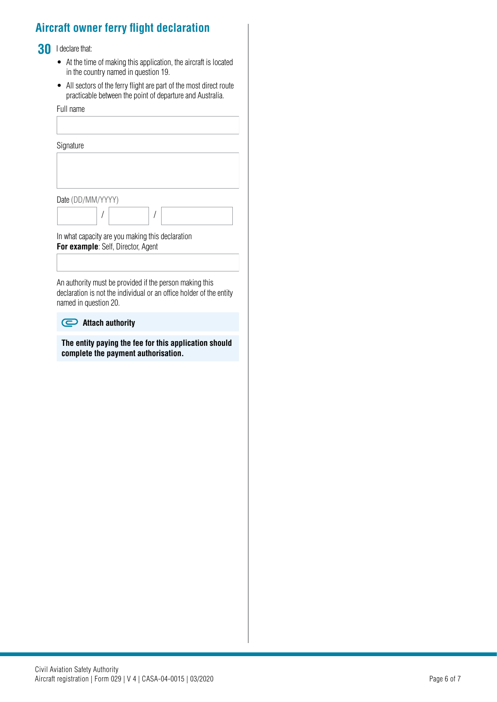## **Aircraft owner ferry flight declaration**

### **30** I declare that:

- At the time of making this application, the aircraft is located in the country named in question 19.
- All sectors of the ferry flight are part of the most direct route practicable between the point of departure and Australia.

Full name **Signature** Date (DD/MM/YYYY)  $\begin{array}{c} \end{array}$ / / In what capacity are you making this declaration **For example: Self, Director, Agent** 

An authority must be provided if the person making this declaration is not the individual or an office holder of the entity named in question 20.

#### **Attach authority**

**The entity paying the fee for this application should complete the payment authorisation.**